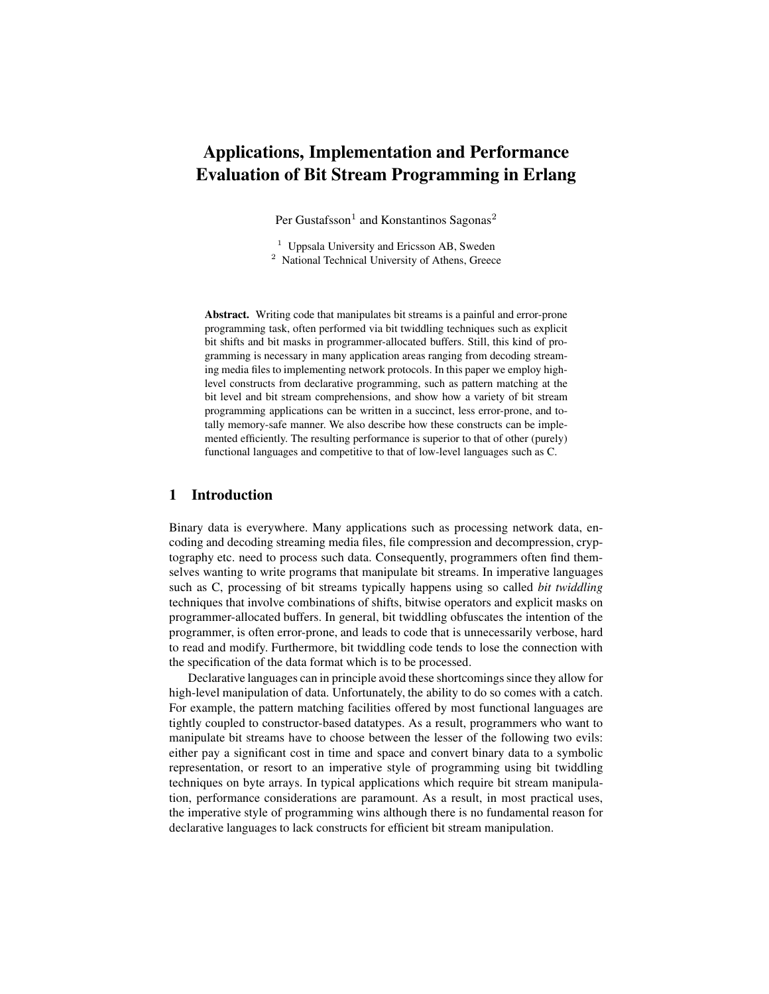# **Applications, Implementation and Performance Evaluation of Bit Stream Programming in Erlang**

Per Gustafsson<sup>1</sup> and Konstantinos Sagonas<sup>2</sup>

 $1$  Uppsala University and Ericsson AB, Sweden

<sup>2</sup> National Technical University of Athens, Greece

**Abstract.** Writing code that manipulates bit streams is a painful and error-prone programming task, often performed via bit twiddling techniques such as explicit bit shifts and bit masks in programmer-allocated buffers. Still, this kind of programming is necessary in many application areas ranging from decoding streaming media files to implementing network protocols. In this paper we employ highlevel constructs from declarative programming, such as pattern matching at the bit level and bit stream comprehensions, and show how a variety of bit stream programming applications can be written in a succinct, less error-prone, and totally memory-safe manner. We also describe how these constructs can be implemented efficiently. The resulting performance is superior to that of other (purely) functional languages and competitive to that of low-level languages such as C.

# **1 Introduction**

Binary data is everywhere. Many applications such as processing network data, encoding and decoding streaming media files, file compression and decompression, cryptography etc. need to process such data. Consequently, programmers often find themselves wanting to write programs that manipulate bit streams. In imperative languages such as C, processing of bit streams typically happens using so called *bit twiddling* techniques that involve combinations of shifts, bitwise operators and explicit masks on programmer-allocated buffers. In general, bit twiddling obfuscates the intention of the programmer, is often error-prone, and leads to code that is unnecessarily verbose, hard to read and modify. Furthermore, bit twiddling code tends to lose the connection with the specification of the data format which is to be processed.

Declarative languages can in principle avoid these shortcomings since they allow for high-level manipulation of data. Unfortunately, the ability to do so comes with a catch. For example, the pattern matching facilities offered by most functional languages are tightly coupled to constructor-based datatypes. As a result, programmers who want to manipulate bit streams have to choose between the lesser of the following two evils: either pay a significant cost in time and space and convert binary data to a symbolic representation, or resort to an imperative style of programming using bit twiddling techniques on byte arrays. In typical applications which require bit stream manipulation, performance considerations are paramount. As a result, in most practical uses, the imperative style of programming wins although there is no fundamental reason for declarative languages to lack constructs for efficient bit stream manipulation.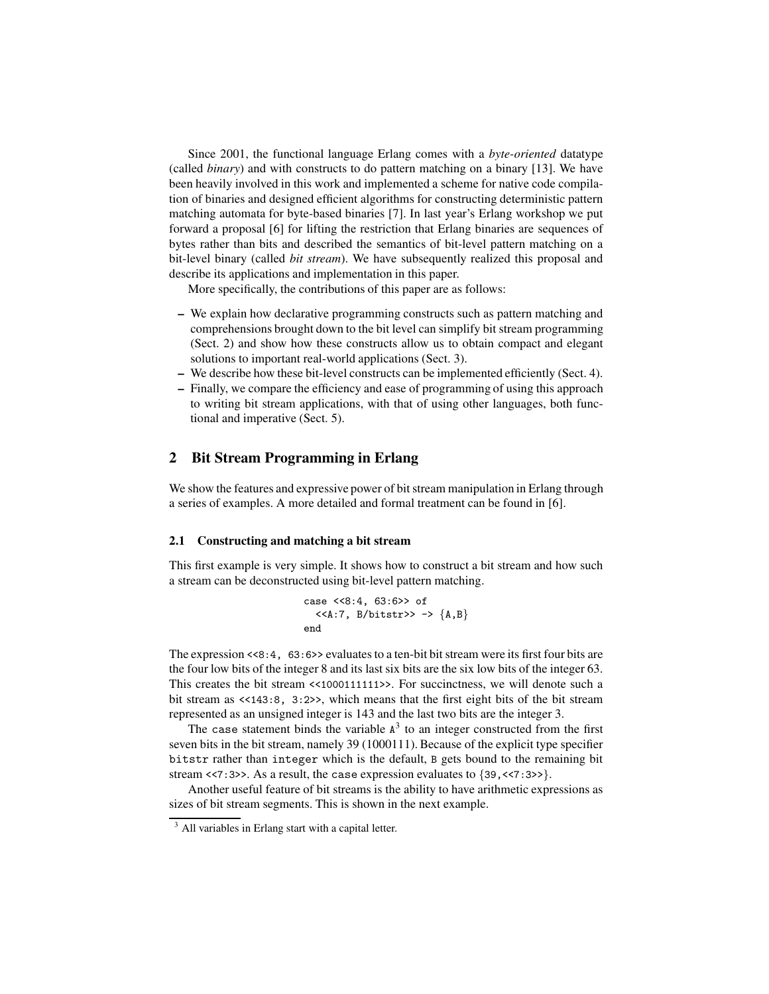Since 2001, the functional language Erlang comes with a *byte-oriented* datatype (called *binary*) and with constructs to do pattern matching on a binary [13]. We have been heavily involved in this work and implemented a scheme for native code compilation of binaries and designed efficient algorithms for constructing deterministic pattern matching automata for byte-based binaries [7]. In last year's Erlang workshop we put forward a proposal [6] for lifting the restriction that Erlang binaries are sequences of bytes rather than bits and described the semantics of bit-level pattern matching on a bit-level binary (called *bit stream*). We have subsequently realized this proposal and describe its applications and implementation in this paper.

More specifically, the contributions of this paper are as follows:

- **–** We explain how declarative programming constructs such as pattern matching and comprehensions brought down to the bit level can simplify bit stream programming (Sect. 2) and show how these constructs allow us to obtain compact and elegant solutions to important real-world applications (Sect. 3).
- **–** We describe how these bit-level constructs can be implemented efficiently (Sect. 4).
- **–** Finally, we compare the efficiency and ease of programming of using this approach to writing bit stream applications, with that of using other languages, both functional and imperative (Sect. 5).

# **2 Bit Stream Programming in Erlang**

We show the features and expressive power of bit stream manipulation in Erlang through a series of examples. A more detailed and formal treatment can be found in [6].

#### **2.1 Constructing and matching a bit stream**

This first example is very simple. It shows how to construct a bit stream and how such a stream can be deconstructed using bit-level pattern matching.

```
case <<8:4, 63:6>> of
  <<A:7, B/bitstr>> -> {A,B}
end
```
The expression <<8:4, 63:6>> evaluates to a ten-bit bit stream were its first four bits are the four low bits of the integer 8 and its last six bits are the six low bits of the integer 63. This creates the bit stream <<1000111111>>. For succinctness, we will denote such a bit stream as <<143:8, 3:2>>, which means that the first eight bits of the bit stream represented as an unsigned integer is 143 and the last two bits are the integer 3.

The case statement binds the variable  $A<sup>3</sup>$  to an integer constructed from the first seven bits in the bit stream, namely 39 (1000111). Because of the explicit type specifier bitstr rather than integer which is the default, B gets bound to the remaining bit stream <<7:3>>. As a result, the case expression evaluates to  $\{39, \langle 7:3 \rangle\}$ .

Another useful feature of bit streams is the ability to have arithmetic expressions as sizes of bit stream segments. This is shown in the next example.

<sup>&</sup>lt;sup>3</sup> All variables in Erlang start with a capital letter.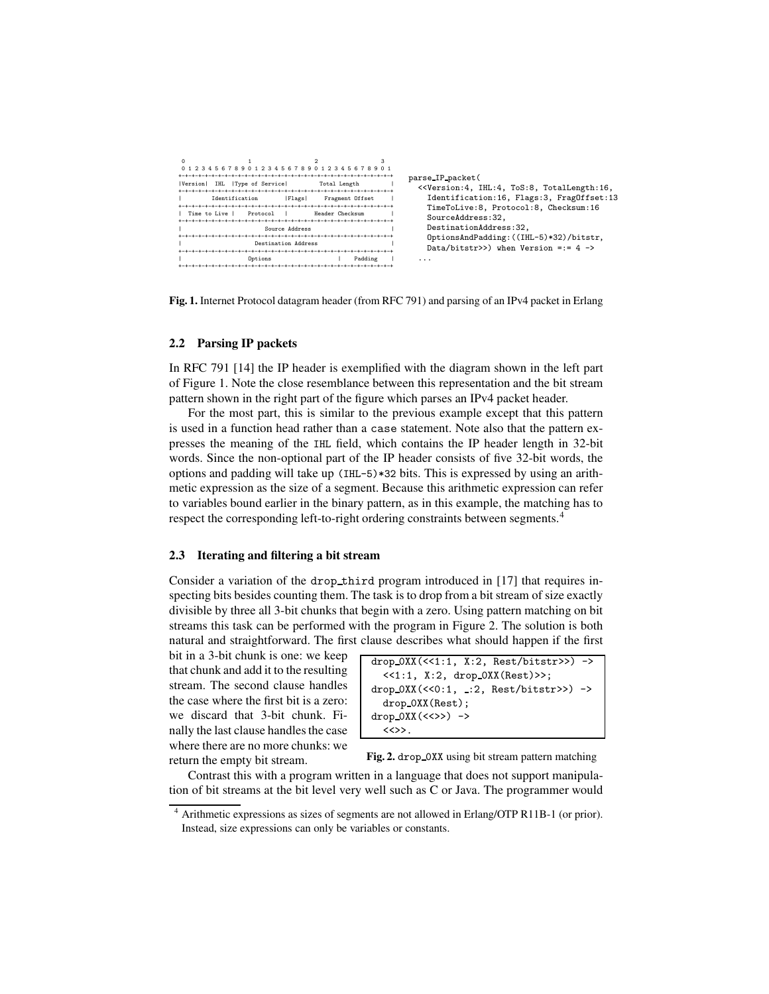| 0                                        |                 |                                                                           |
|------------------------------------------|-----------------|---------------------------------------------------------------------------|
| 01234567890123456789012345678901         |                 |                                                                           |
|                                          |                 | parse IP packet (                                                         |
| IHL   Type of Service <br><b>Version</b> | Total Length    | < <version:4, ihl:4,="" td="" tos:8,="" totallength:16,<=""></version:4,> |
| <b>IFlags</b><br>Identification          | Fragment Offset | Identification:16, Flags:3, FragOffset:13                                 |
|                                          |                 | TimeToLive:8, Protocol:8, Checksum:16                                     |
| Time to Live I<br>Protocol               | Header Checksum | SourceAddress:32,                                                         |
|                                          |                 |                                                                           |
| Source Address                           |                 | DestinationAddress:32.                                                    |
|                                          |                 | OptionsAndPadding: ((IHL-5)*32)/bitstr,                                   |
| Destination Address                      |                 | Data/bitstr>>) when Version =:= $4 \rightarrow$                           |
|                                          |                 |                                                                           |
| Options                                  | Padding         | $\cdots$                                                                  |
|                                          |                 |                                                                           |

**Fig. 1.** Internet Protocol datagram header (from RFC 791) and parsing of an IPv4 packet in Erlang

### **2.2 Parsing IP packets**

In RFC 791 [14] the IP header is exemplified with the diagram shown in the left part of Figure 1. Note the close resemblance between this representation and the bit stream pattern shown in the right part of the figure which parses an IPv4 packet header.

For the most part, this is similar to the previous example except that this pattern is used in a function head rather than a case statement. Note also that the pattern expresses the meaning of the IHL field, which contains the IP header length in 32-bit words. Since the non-optional part of the IP header consists of five 32-bit words, the options and padding will take up  $(IHL-5)*32$  bits. This is expressed by using an arithmetic expression as the size of a segment. Because this arithmetic expression can refer to variables bound earlier in the binary pattern, as in this example, the matching has to respect the corresponding left-to-right ordering constraints between segments.<sup>4</sup>

#### **2.3 Iterating and filtering a bit stream**

Consider a variation of the drop third program introduced in [17] that requires inspecting bits besides counting them. The task is to drop from a bit stream of size exactly divisible by three all 3-bit chunks that begin with a zero. Using pattern matching on bit streams this task can be performed with the program in Figure 2. The solution is both natural and straightforward. The first clause describes what should happen if the first

bit in a 3-bit chunk is one: we keep that chunk and add it to the resulting stream. The second clause handles the case where the first bit is a zero: we discard that 3-bit chunk. Finally the last clause handles the case where there are no more chunks: we return the empty bit stream.

| $drop_0XX(\ll1:1, X:2, Rest/bitstr>>)$ ->      |  |
|------------------------------------------------|--|
| $<<1:1$ , X:2, drop_OXX(Rest)>>;               |  |
| $drop_0XX(\ll0:1, \ldots:2, Rest/bitstr>>)$ -> |  |
| $drop_0XX(Rest);$                              |  |
| drop_0XX(<<>>) ->                              |  |
| くく>>                                           |  |

**Fig. 2.** drop 0XX using bit stream pattern matching

Contrast this with a program written in a language that does not support manipulation of bit streams at the bit level very well such as C or Java. The programmer would

<sup>4</sup> Arithmetic expressions as sizes of segments are not allowed in Erlang/OTP R11B-1 (or prior). Instead, size expressions can only be variables or constants.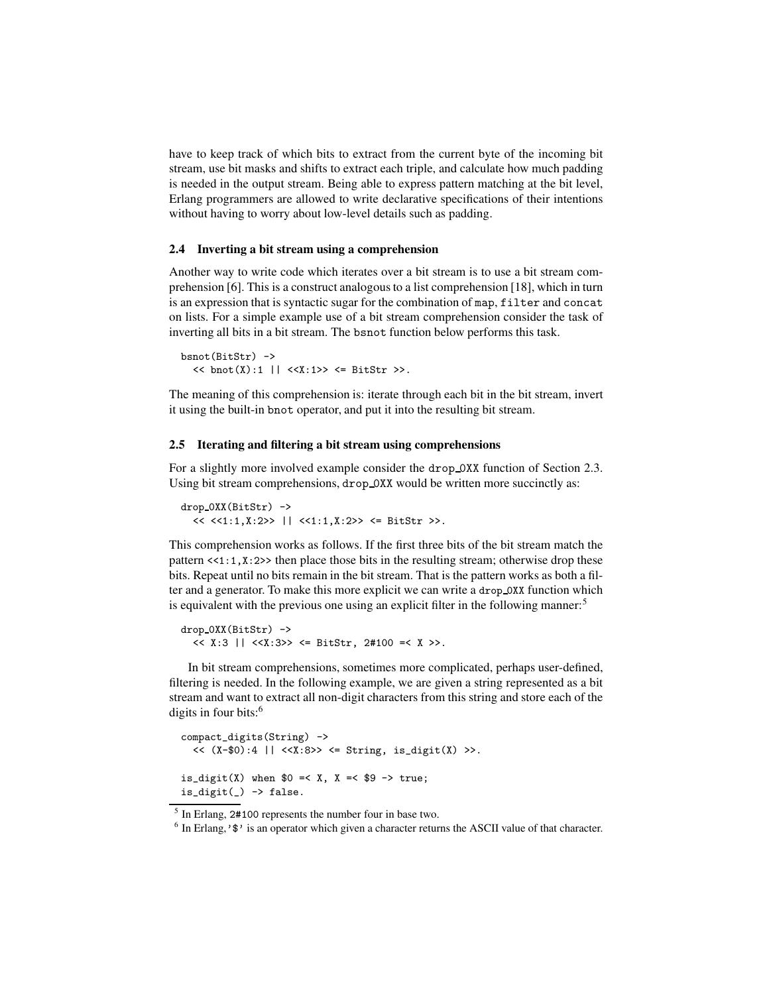have to keep track of which bits to extract from the current byte of the incoming bit stream, use bit masks and shifts to extract each triple, and calculate how much padding is needed in the output stream. Being able to express pattern matching at the bit level, Erlang programmers are allowed to write declarative specifications of their intentions without having to worry about low-level details such as padding.

### **2.4 Inverting a bit stream using a comprehension**

Another way to write code which iterates over a bit stream is to use a bit stream comprehension [6]. This is a construct analogousto a list comprehension [18], which in turn is an expression that is syntactic sugar for the combination of map, filter and concat on lists. For a simple example use of a bit stream comprehension consider the task of inverting all bits in a bit stream. The bsnot function below performs this task.

```
bsnot(BitStr) ->
   \langle bnot(X):1 || \langle \lapsil 1>> \langle = BitStr >>.
```
The meaning of this comprehension is: iterate through each bit in the bit stream, invert it using the built-in bnot operator, and put it into the resulting bit stream.

### **2.5 Iterating and filtering a bit stream using comprehensions**

For a slightly more involved example consider the drop 0XX function of Section 2.3. Using bit stream comprehensions, drop 0XX would be written more succinctly as:

```
drop 0XX(BitStr) ->
  << <<1:1, X:2>> || <<1:1, X:2>> <= BitStr >>.
```
This comprehension works as follows. If the first three bits of the bit stream match the pattern  $\langle \langle 1:1,X:2 \rangle$  then place those bits in the resulting stream; otherwise drop these bits. Repeat until no bits remain in the bit stream. That is the pattern works as both a filter and a generator. To make this more explicit we can write a drop 0XX function which is equivalent with the previous one using an explicit filter in the following manner:<sup>5</sup>

```
drop 0XX(BitStr) ->
 << X:3 || <<X:3>> <= BitStr, 2#100 =< X >>.
```
In bit stream comprehensions, sometimes more complicated, perhaps user-defined, filtering is needed. In the following example, we are given a string represented as a bit stream and want to extract all non-digit characters from this string and store each of the digits in four bits: $<sup>6</sup>$ </sup>

```
compact_digits(String) ->
  << (X-$0):4 || <<X:8>> <= String, is_digit(X) >>.
is_digit(X) when 0 \leq X, X =< 9 \Rightarrow true;
is_digit() -> false.
```
<sup>&</sup>lt;sup>5</sup> In Erlang, 2#100 represents the number four in base two.

 $6$  In Erlang, ' $\mathcal{F}'$  is an operator which given a character returns the ASCII value of that character.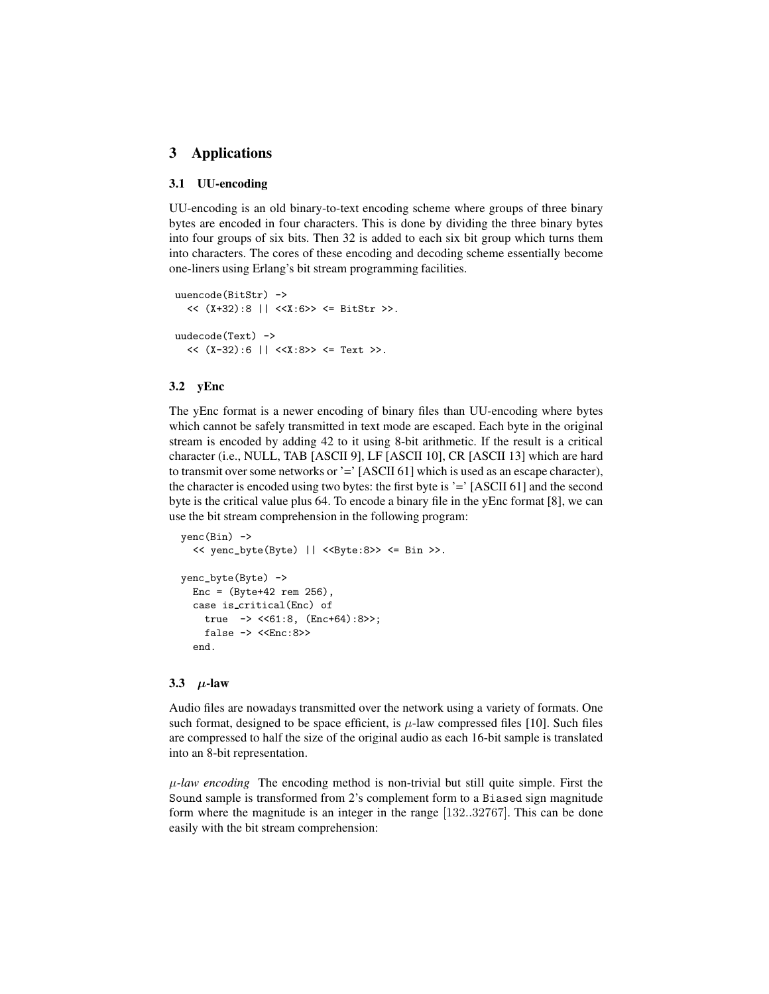# **3 Applications**

### **3.1 UU-encoding**

UU-encoding is an old binary-to-text encoding scheme where groups of three binary bytes are encoded in four characters. This is done by dividing the three binary bytes into four groups of six bits. Then 32 is added to each six bit group which turns them into characters. The cores of these encoding and decoding scheme essentially become one-liners using Erlang's bit stream programming facilities.

```
uuencode(BitStr) ->
  << (X+32):8 || <<X:6>> <= BitStr >>.
uudecode(Text) ->
  << (X-32):6 || <<X:8>> <= Text >>.
```
## **3.2 yEnc**

The yEnc format is a newer encoding of binary files than UU-encoding where bytes which cannot be safely transmitted in text mode are escaped. Each byte in the original stream is encoded by adding 42 to it using 8-bit arithmetic. If the result is a critical character (i.e., NULL, TAB [ASCII 9], LF [ASCII 10], CR [ASCII 13] which are hard to transmit over some networks or '='  $[ASCII 61]$  which is used as an escape character), the character is encoded using two bytes: the first byte is  $\equiv$  [ASCII 61] and the second byte is the critical value plus 64. To encode a binary file in the yEnc format [8], we can use the bit stream comprehension in the following program:

```
\text{yenc}(\text{Bin}) ->
  << yenc_byte(Byte) || <<Byte:8>> <= Bin >>.
yenc_byte(Byte) ->
  Enc = (Byte+42 rem 256),
  case is critical(Enc) of
    true -> <<61:8, (Enc+64):8>>;
    false -> <<Enc:8>>
  end.
```
### **3.3** µ**-law**

Audio files are nowadays transmitted over the network using a variety of formats. One such format, designed to be space efficient, is  $\mu$ -law compressed files [10]. Such files are compressed to half the size of the original audio as each 16-bit sample is translated into an 8-bit representation.

µ*-law encoding* The encoding method is non-trivial but still quite simple. First the Sound sample is transformed from 2's complement form to a Biased sign magnitude form where the magnitude is an integer in the range [132..32767]. This can be done easily with the bit stream comprehension: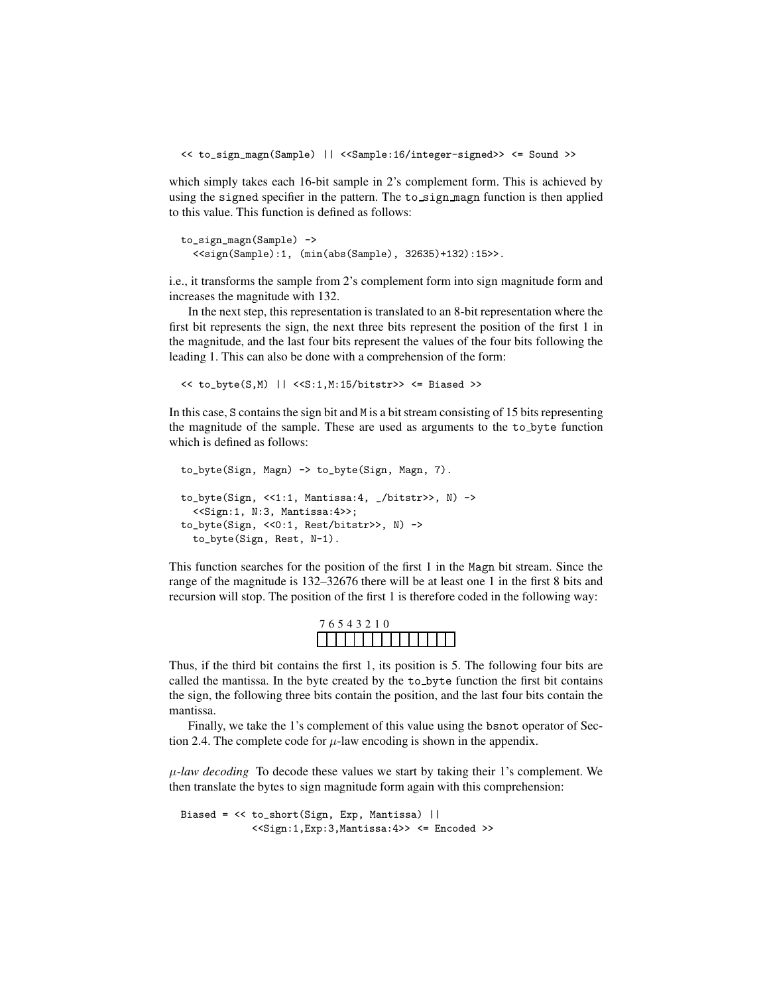<< to\_sign\_magn(Sample) || <<Sample:16/integer-signed>> <= Sound >>

which simply takes each 16-bit sample in 2's complement form. This is achieved by using the signed specifier in the pattern. The to sign magn function is then applied to this value. This function is defined as follows:

```
to_sign_magn(Sample) ->
  <<sign(Sample):1, (min(abs(Sample), 32635)+132):15>>.
```
i.e., it transforms the sample from 2's complement form into sign magnitude form and increases the magnitude with 132.

In the next step, this representation is translated to an 8-bit representation where the first bit represents the sign, the next three bits represent the position of the first 1 in the magnitude, and the last four bits represent the values of the four bits following the leading 1. This can also be done with a comprehension of the form:

 $<<$  to\_byte(S,M) ||  $<<$ S:1,M:15/bitstr>>  $<=$  Biased >>

In this case, S contains the sign bit and M is a bit stream consisting of 15 bits representing the magnitude of the sample. These are used as arguments to the to byte function which is defined as follows:

```
to_byte(Sign, Magn) -> to_byte(Sign, Magn, 7).
to_byte(Sign, \langle<1:1, Mantissa:4, \angle/bitstr>>, N) ->
  <<Sign:1, N:3, Mantissa:4>>;
to_byte(Sign, <<0:1, Rest/bitstr>>, N) ->
  to_byte(Sign, Rest, N-1).
```
This function searches for the position of the first 1 in the Magn bit stream. Since the range of the magnitude is 132–32676 there will be at least one 1 in the first 8 bits and recursion will stop. The position of the first 1 is therefore coded in the following way:

| 76543210 |  |  |  |  |  |  |  |
|----------|--|--|--|--|--|--|--|
|          |  |  |  |  |  |  |  |

Thus, if the third bit contains the first 1, its position is 5. The following four bits are called the mantissa. In the byte created by the to byte function the first bit contains the sign, the following three bits contain the position, and the last four bits contain the mantissa.

Finally, we take the 1's complement of this value using the bsnot operator of Section 2.4. The complete code for  $\mu$ -law encoding is shown in the appendix.

µ*-law decoding* To decode these values we start by taking their 1's complement. We then translate the bytes to sign magnitude form again with this comprehension:

```
Biased = << to_short(Sign, Exp, Mantissa) ||
            <<Sign:1,Exp:3,Mantissa:4>> <= Encoded >>
```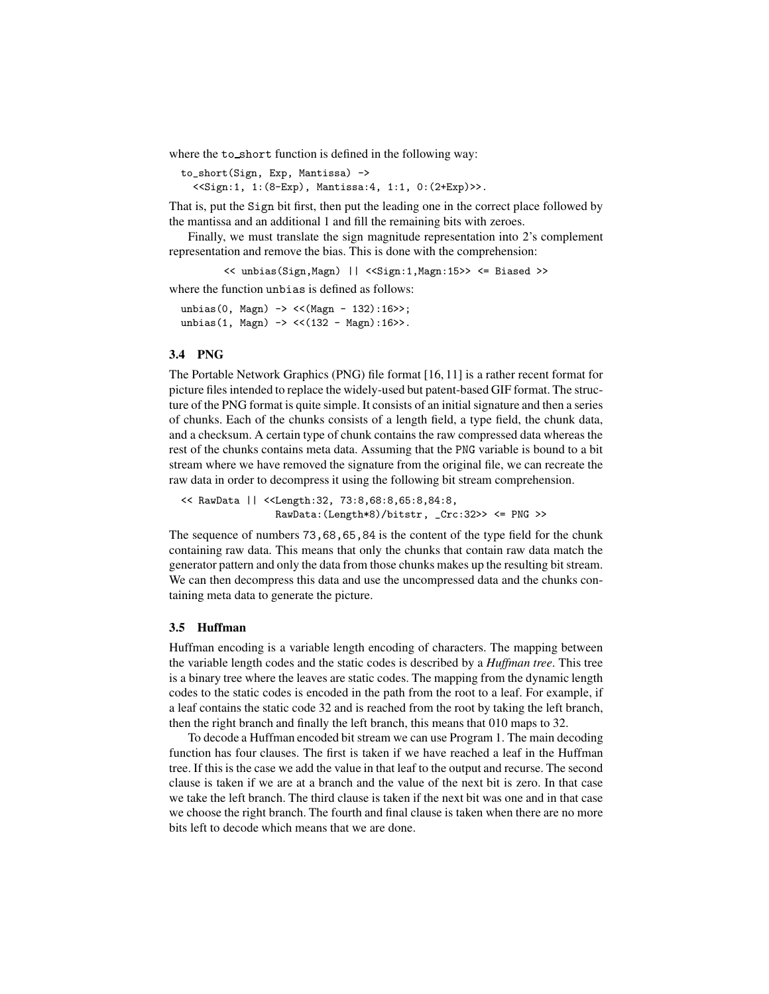where the to\_short function is defined in the following way:

```
to_short(Sign, Exp, Mantissa) ->
  <<Sign:1, 1:(8-Exp), Mantissa:4, 1:1, 0:(2+Exp)>>.
```
That is, put the Sign bit first, then put the leading one in the correct place followed by the mantissa and an additional 1 and fill the remaining bits with zeroes.

Finally, we must translate the sign magnitude representation into 2's complement representation and remove the bias. This is done with the comprehension:

<< unbias(Sign,Magn) || <<Sign:1,Magn:15>> <= Biased >>

where the function unbias is defined as follows:

unbias(0, Magn)  $\rightarrow$  <<(Magn - 132):16>>; unbias(1, Magn)  $\rightarrow$  <<(132 - Magn):16>>.

#### **3.4 PNG**

The Portable Network Graphics (PNG) file format [16, 11] is a rather recent format for picture files intended to replace the widely-used but patent-based GIF format. The structure of the PNG format is quite simple. It consists of an initial signature and then a series of chunks. Each of the chunks consists of a length field, a type field, the chunk data, and a checksum. A certain type of chunk contains the raw compressed data whereas the rest of the chunks contains meta data. Assuming that the PNG variable is bound to a bit stream where we have removed the signature from the original file, we can recreate the raw data in order to decompress it using the following bit stream comprehension.

<< RawData || <<Length:32, 73:8,68:8,65:8,84:8, RawData:(Length\*8)/bitstr, \_Crc:32>> <= PNG >>

The sequence of numbers 73,68,65,84 is the content of the type field for the chunk containing raw data. This means that only the chunks that contain raw data match the generator pattern and only the data from those chunks makes up the resulting bit stream. We can then decompress this data and use the uncompressed data and the chunks containing meta data to generate the picture.

# **3.5 Huffman**

Huffman encoding is a variable length encoding of characters. The mapping between the variable length codes and the static codes is described by a *Huffman tree*. This tree is a binary tree where the leaves are static codes. The mapping from the dynamic length codes to the static codes is encoded in the path from the root to a leaf. For example, if a leaf contains the static code 32 and is reached from the root by taking the left branch, then the right branch and finally the left branch, this means that 010 maps to 32.

To decode a Huffman encoded bit stream we can use Program 1. The main decoding function has four clauses. The first is taken if we have reached a leaf in the Huffman tree. If this is the case we add the value in that leaf to the output and recurse. The second clause is taken if we are at a branch and the value of the next bit is zero. In that case we take the left branch. The third clause is taken if the next bit was one and in that case we choose the right branch. The fourth and final clause is taken when there are no more bits left to decode which means that we are done.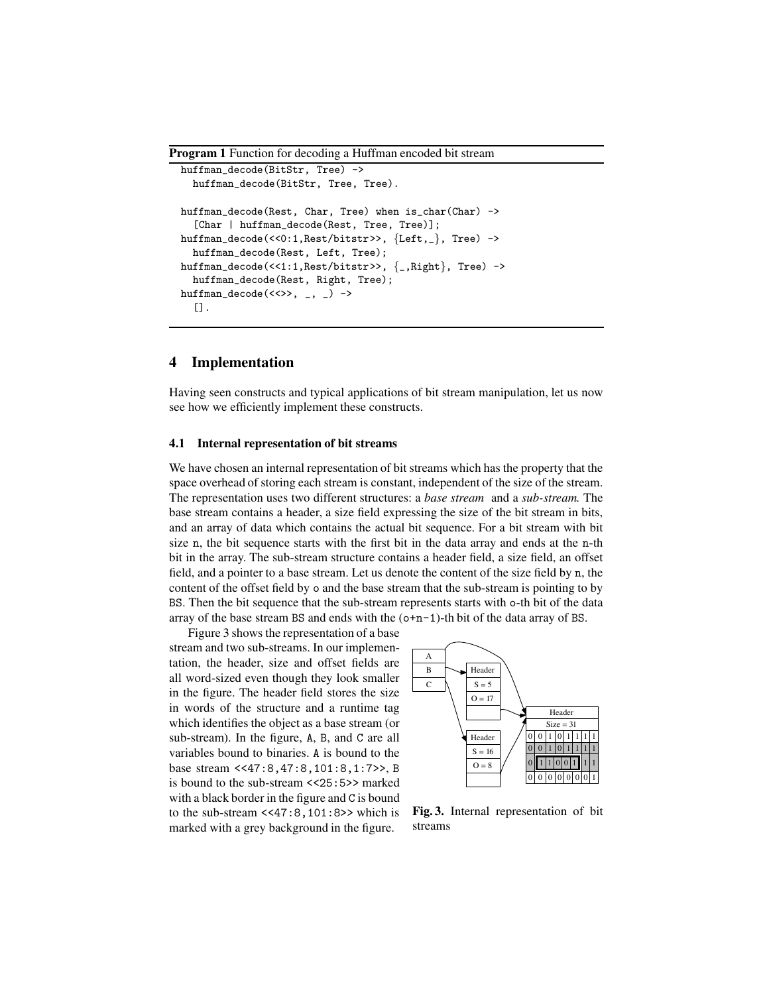#### **Program 1** Function for decoding a Huffman encoded bit stream

```
huffman_decode(BitStr, Tree) ->
  huffman_decode(BitStr, Tree, Tree).
huffman_decode(Rest, Char, Tree) when is_char(Char) ->
  [Char | huffman_decode(Rest, Tree, Tree)];
huffman_decode(<<0:1,Rest/bitstr>>, {Left,_}, Tree) ->
  huffman_decode(Rest, Left, Tree);
huffman_decode(<<1:1,Rest/bitstr>>, {_,Right}, Tree) ->
  huffman_decode(Rest, Right, Tree);
huffman_decode(\langle \langle \rangle, _, _) ->
  [].
```
# **4 Implementation**

Having seen constructs and typical applications of bit stream manipulation, let us now see how we efficiently implement these constructs.

### **4.1 Internal representation of bit streams**

We have chosen an internal representation of bit streams which has the property that the space overhead of storing each stream is constant, independent of the size of the stream. The representation uses two different structures: a *base stream* and a *sub-stream.* The base stream contains a header, a size field expressing the size of the bit stream in bits, and an array of data which contains the actual bit sequence. For a bit stream with bit size n, the bit sequence starts with the first bit in the data array and ends at the n-th bit in the array. The sub-stream structure contains a header field, a size field, an offset field, and a pointer to a base stream. Let us denote the content of the size field by n, the content of the offset field by o and the base stream that the sub-stream is pointing to by BS. Then the bit sequence that the sub-stream represents starts with o-th bit of the data array of the base stream BS and ends with the  $(o+n-1)$ -th bit of the data array of BS.

Figure 3 shows the representation of a base stream and two sub-streams. In our implementation, the header, size and offset fields are all word-sized even though they look smaller in the figure. The header field stores the size in words of the structure and a runtime tag which identifies the object as a base stream (or sub-stream). In the figure, A, B, and C are all variables bound to binaries. A is bound to the base stream <<47:8,47:8,101:8,1:7>>, B is bound to the sub-stream <<25:5>> marked with a black border in the figure and C is bound to the sub-stream <<47:8,101:8>> which is marked with a grey background in the figure.



**Fig. 3.** Internal representation of bit streams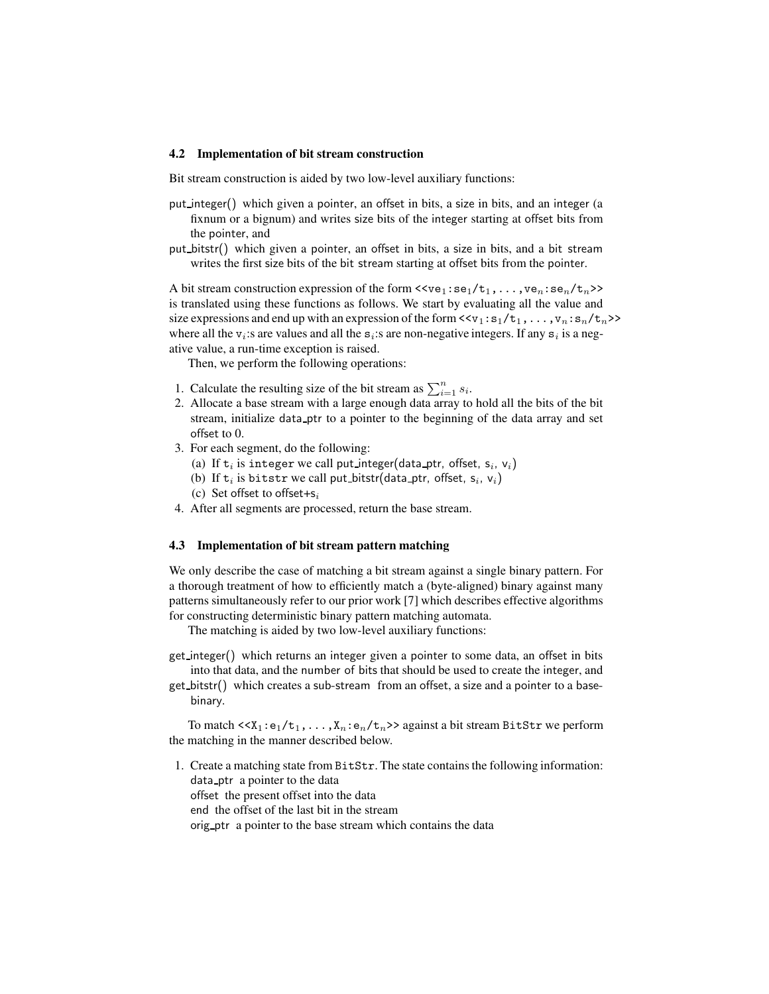#### **4.2 Implementation of bit stream construction**

Bit stream construction is aided by two low-level auxiliary functions:

- put integer() which given a pointer, an offset in bits, a size in bits, and an integer (a fixnum or a bignum) and writes size bits of the integer starting at offset bits from the pointer, and
- put bitstr() which given a pointer, an offset in bits, a size in bits, and a bit stream writes the first size bits of the bit stream starting at offset bits from the pointer.

A bit stream construction expression of the form  $\langle \langle ve_1; se_1/t_1, \ldots, ve_n; se_n/t_n \rangle$ is translated using these functions as follows. We start by evaluating all the value and size expressions and end up with an expression of the form  $\langle v_1: s_1/t_1, \ldots, v_n: s_n/t_n \rangle$ where all the  $v_i$ :s are values and all the  $s_i$ :s are non-negative integers. If any  $s_i$  is a negative value, a run-time exception is raised.

Then, we perform the following operations:

- 1. Calculate the resulting size of the bit stream as  $\sum_{i=1}^{n} s_i$ .
- 2. Allocate a base stream with a large enough data array to hold all the bits of the bit stream, initialize data ptr to a pointer to the beginning of the data array and set offset to 0.
- 3. For each segment, do the following:
	- (a) If  $\mathtt{t}_i$  is integer we call put integer(data ptr, offset,  $\mathtt{s}_i$ ,  $\mathtt{v}_i$ )
	- (b) If  $t_i$  is bitstr we call put bitstr(data ptr, offset,  $s_i$ ,  $v_i$ )
	- (c) Set offset to offset+s<sub>i</sub>
- 4. After all segments are processed, return the base stream.

## **4.3 Implementation of bit stream pattern matching**

We only describe the case of matching a bit stream against a single binary pattern. For a thorough treatment of how to efficiently match a (byte-aligned) binary against many patterns simultaneously refer to our prior work [7] which describes effective algorithms for constructing deterministic binary pattern matching automata.

The matching is aided by two low-level auxiliary functions:

- get integer() which returns an integer given a pointer to some data, an offset in bits into that data, and the number of bits that should be used to create the integer, and
- get bitstr() which creates a sub-stream from an offset, a size and a pointer to a basebinary.

To match  $<>$  against a bit stream BitStr we perform the matching in the manner described below.

1. Create a matching state from BitStr. The state contains the following information: data ptr a pointer to the data offset the present offset into the data end the offset of the last bit in the stream orig ptr a pointer to the base stream which contains the data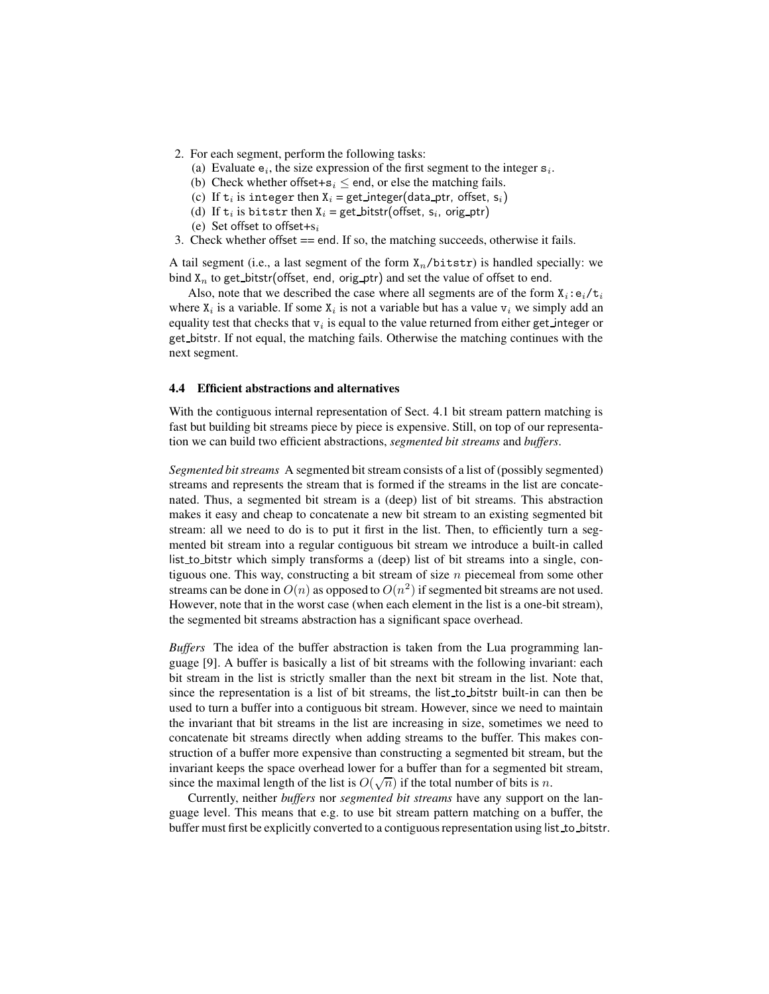- 2. For each segment, perform the following tasks:
	- (a) Evaluate  $e_i$ , the size expression of the first segment to the integer  $s_i$ .
	- (b) Check whether offset+s<sub>i</sub>  $\leq$  end, or else the matching fails.
	- (c) If  $t_i$  is integer then  $X_i = get\_integer(data_ptr, offset, s_i)$
	- (d) If  $t_i$  is bitstr then  $X_i = get\_bitstr(offset, s_i, orig\_ptr)$
	- (e) Set offset to offset+s $_i$
- 3. Check whether offset == end. If so, the matching succeeds, otherwise it fails.

A tail segment (i.e., a last segment of the form  $X_n/b$ itstr) is handled specially: we bind  $X_n$  to get\_bitstr(offset, end, orig\_ptr) and set the value of offset to end.

Also, note that we described the case where all segments are of the form  $X_i: e_i/t_i$ where  $X_i$  is a variable. If some  $X_i$  is not a variable but has a value  $v_i$  we simply add an equality test that checks that  $v_i$  is equal to the value returned from either get integer or get bitstr. If not equal, the matching fails. Otherwise the matching continues with the next segment.

# **4.4 Efficient abstractions and alternatives**

With the contiguous internal representation of Sect. 4.1 bit stream pattern matching is fast but building bit streams piece by piece is expensive. Still, on top of our representation we can build two efficient abstractions, *segmented bit streams* and *buffers*.

*Segmented bit streams* A segmented bit stream consists of a list of (possibly segmented) streams and represents the stream that is formed if the streams in the list are concatenated. Thus, a segmented bit stream is a (deep) list of bit streams. This abstraction makes it easy and cheap to concatenate a new bit stream to an existing segmented bit stream: all we need to do is to put it first in the list. Then, to efficiently turn a segmented bit stream into a regular contiguous bit stream we introduce a built-in called list to bitstr which simply transforms a (deep) list of bit streams into a single, contiguous one. This way, constructing a bit stream of size  $n$  piecemeal from some other streams can be done in  $O(n)$  as opposed to  $O(n^2)$  if segmented bit streams are not used. However, note that in the worst case (when each element in the list is a one-bit stream), the segmented bit streams abstraction has a significant space overhead.

*Buffers* The idea of the buffer abstraction is taken from the Lua programming language [9]. A buffer is basically a list of bit streams with the following invariant: each bit stream in the list is strictly smaller than the next bit stream in the list. Note that, since the representation is a list of bit streams, the list to bitstr built-in can then be used to turn a buffer into a contiguous bit stream. However, since we need to maintain the invariant that bit streams in the list are increasing in size, sometimes we need to concatenate bit streams directly when adding streams to the buffer. This makes construction of a buffer more expensive than constructing a segmented bit stream, but the invariant keeps the space overhead lower for a buffer than for a segmented bit stream, since the maximal length of the list is  $O(\sqrt{n})$  if the total number of bits is n.

Currently, neither *buffers* nor *segmented bit streams* have any support on the language level. This means that e.g. to use bit stream pattern matching on a buffer, the buffer must first be explicitly converted to a contiguous representation using list to bitstr.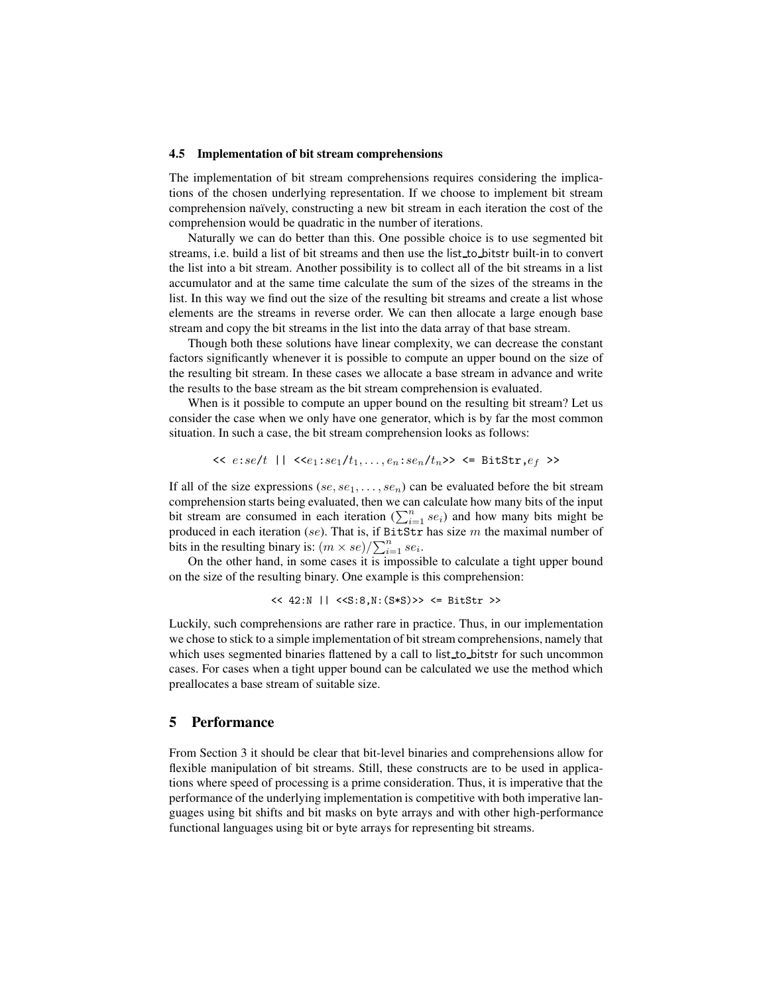#### **4.5 Implementation of bit stream comprehensions**

The implementation of bit stream comprehensions requires considering the implications of the chosen underlying representation. If we choose to implement bit stream comprehension naïvely, constructing a new bit stream in each iteration the cost of the comprehension would be quadratic in the number of iterations.

Naturally we can do better than this. One possible choice is to use segmented bit streams, i.e. build a list of bit streams and then use the list to bitstr built-in to convert the list into a bit stream. Another possibility is to collect all of the bit streams in a list accumulator and at the same time calculate the sum of the sizes of the streams in the list. In this way we find out the size of the resulting bit streams and create a list whose elements are the streams in reverse order. We can then allocate a large enough base stream and copy the bit streams in the list into the data array of that base stream.

Though both these solutions have linear complexity, we can decrease the constant factors significantly whenever it is possible to compute an upper bound on the size of the resulting bit stream. In these cases we allocate a base stream in advance and write the results to the base stream as the bit stream comprehension is evaluated.

When is it possible to compute an upper bound on the resulting bit stream? Let us consider the case when we only have one generator, which is by far the most common situation. In such a case, the bit stream comprehension looks as follows:

$$
\iff e: se/t \mid \mid \iff e_1: se_1/t_1, \dots, e_n: se_n/t_n \implies \iff \text{BitStr}, e_f \implies
$$

If all of the size expressions (se, se<sub>1</sub>, ..., se<sub>n</sub>) can be evaluated before the bit stream comprehension starts being evaluated, then we can calculate how many bits of the input bit stream are consumed in each iteration  $(\sum_{i=1}^{n} se_i)$  and how many bits might be produced in each iteration (se). That is, if  $BitStr$  has size  $m$  the maximal number of bits in the resulting binary is:  $(m \times se)/\sum_{i=1}^{n} se_i$ .

On the other hand, in some cases it is impossible to calculate a tight upper bound on the size of the resulting binary. One example is this comprehension:

```
<< 42:N || << S:8,N:(S*S) >> <= BitStr >>
```
Luckily, such comprehensions are rather rare in practice. Thus, in our implementation we chose to stick to a simple implementation of bit stream comprehensions, namely that which uses segmented binaries flattened by a call to list to bitstr for such uncommon cases. For cases when a tight upper bound can be calculated we use the method which preallocates a base stream of suitable size.

# **5 Performance**

From Section 3 it should be clear that bit-level binaries and comprehensions allow for flexible manipulation of bit streams. Still, these constructs are to be used in applications where speed of processing is a prime consideration. Thus, it is imperative that the performance of the underlying implementation is competitive with both imperative languages using bit shifts and bit masks on byte arrays and with other high-performance functional languages using bit or byte arrays for representing bit streams.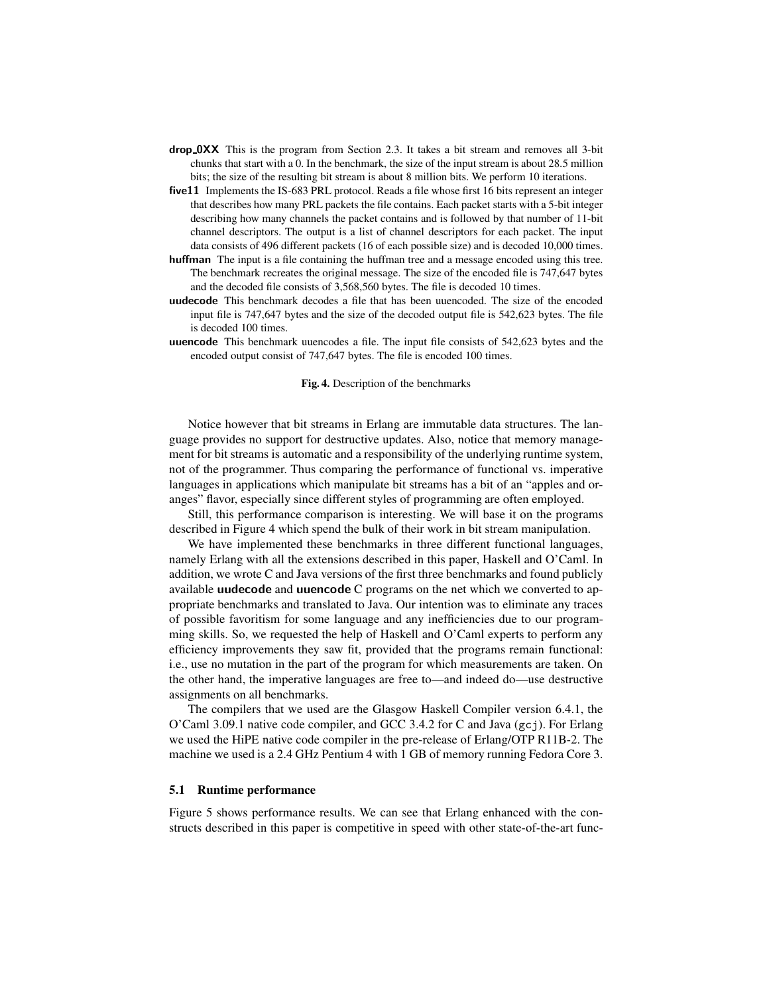- drop 0XX This is the program from Section 2.3. It takes a bit stream and removes all 3-bit chunks that start with a 0. In the benchmark, the size of the input stream is about 28.5 million bits; the size of the resulting bit stream is about 8 million bits. We perform 10 iterations.
- five11 Implements the IS-683 PRL protocol. Reads a file whose first 16 bits represent an integer that describes how many PRL packets the file contains. Each packet starts with a 5-bit integer describing how many channels the packet contains and is followed by that number of 11-bit channel descriptors. The output is a list of channel descriptors for each packet. The input data consists of 496 different packets (16 of each possible size) and is decoded 10,000 times.
- huffman The input is a file containing the huffman tree and a message encoded using this tree. The benchmark recreates the original message. The size of the encoded file is 747,647 bytes and the decoded file consists of 3,568,560 bytes. The file is decoded 10 times.
- uudecode This benchmark decodes a file that has been uuencoded. The size of the encoded input file is 747,647 bytes and the size of the decoded output file is 542,623 bytes. The file is decoded 100 times.
- uuencode This benchmark uuencodes a file. The input file consists of 542,623 bytes and the encoded output consist of 747,647 bytes. The file is encoded 100 times.

#### **Fig. 4.** Description of the benchmarks

Notice however that bit streams in Erlang are immutable data structures. The language provides no support for destructive updates. Also, notice that memory management for bit streams is automatic and a responsibility of the underlying runtime system, not of the programmer. Thus comparing the performance of functional vs. imperative languages in applications which manipulate bit streams has a bit of an "apples and oranges" flavor, especially since different styles of programming are often employed.

Still, this performance comparison is interesting. We will base it on the programs described in Figure 4 which spend the bulk of their work in bit stream manipulation.

We have implemented these benchmarks in three different functional languages, namely Erlang with all the extensions described in this paper, Haskell and O'Caml. In addition, we wrote C and Java versions of the first three benchmarks and found publicly available uudecode and uuencode C programs on the net which we converted to appropriate benchmarks and translated to Java. Our intention was to eliminate any traces of possible favoritism for some language and any inefficiencies due to our programming skills. So, we requested the help of Haskell and O'Caml experts to perform any efficiency improvements they saw fit, provided that the programs remain functional: i.e., use no mutation in the part of the program for which measurements are taken. On the other hand, the imperative languages are free to—and indeed do—use destructive assignments on all benchmarks.

The compilers that we used are the Glasgow Haskell Compiler version 6.4.1, the O'Caml 3.09.1 native code compiler, and GCC 3.4.2 for C and Java (gcj). For Erlang we used the HiPE native code compiler in the pre-release of Erlang/OTP R11B-2. The machine we used is a 2.4 GHz Pentium 4 with 1 GB of memory running Fedora Core 3.

#### **5.1 Runtime performance**

Figure 5 shows performance results. We can see that Erlang enhanced with the constructs described in this paper is competitive in speed with other state-of-the-art func-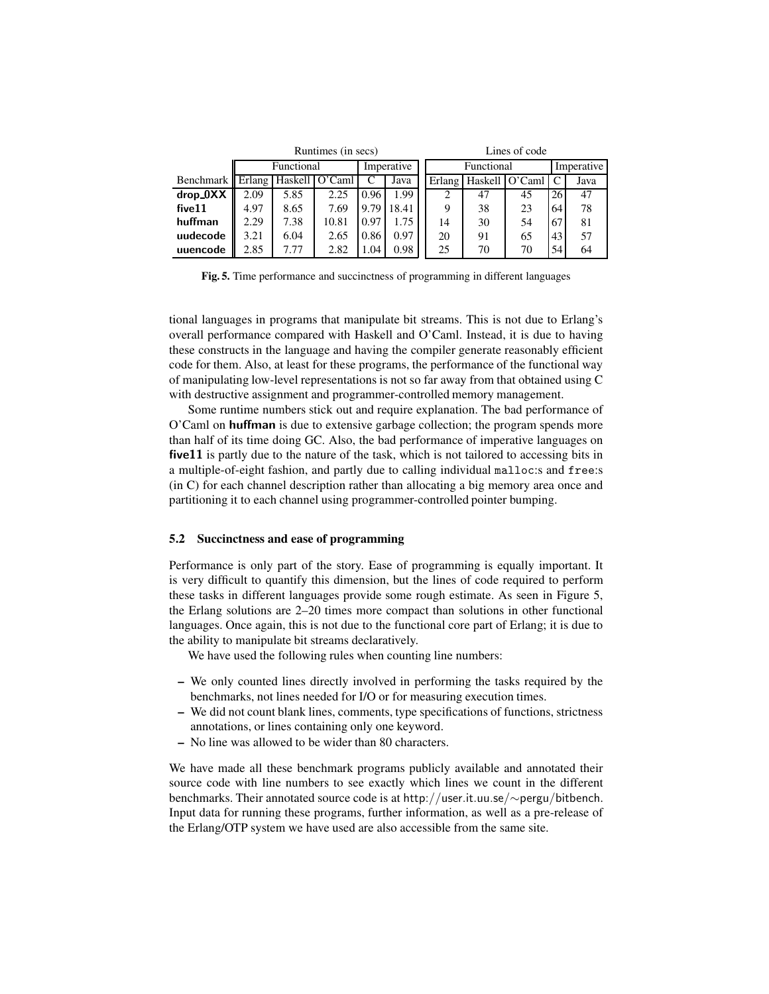|           | Runtimes (in secs) |      |                       |            | Lines of code |            |    |                      |            |      |
|-----------|--------------------|------|-----------------------|------------|---------------|------------|----|----------------------|------------|------|
|           | Functional         |      |                       | Imperative |               | Functional |    |                      | Imperative |      |
| Benchmark |                    |      | Erlang Haskell O'Caml |            | Java          | Erlang     |    | Haskell   O'Caml   C |            | Java |
| drop_0XX  | 2.09               | 5.85 | 2.25                  | 0.96       | 1.99          |            | 47 | 45                   | 26         | 47   |
| five11    | 4.97               | 8.65 | 7.69                  | 9.79       | 18.41         | Q          | 38 | 23                   | 64         | 78   |
| huffman   | 2.29               | 7.38 | 10.81                 | 0.97       | 1.75          | 14         | 30 | 54                   | 67         | 81   |
| uudecode  | 3.21               | 6.04 | 2.65                  | 0.86       | 0.97          | 20         | 91 | 65                   | 43         | 57   |
| uuencode  | 2.85               | 7.77 | 2.82                  | 1.04       | 0.98          | 25         | 70 | 70                   | 54         | 64   |

**Fig. 5.** Time performance and succinctness of programming in different languages

tional languages in programs that manipulate bit streams. This is not due to Erlang's overall performance compared with Haskell and O'Caml. Instead, it is due to having these constructs in the language and having the compiler generate reasonably efficient code for them. Also, at least for these programs, the performance of the functional way of manipulating low-level representations is not so far away from that obtained using C with destructive assignment and programmer-controlled memory management.

Some runtime numbers stick out and require explanation. The bad performance of O'Caml on huffman is due to extensive garbage collection; the program spends more than half of its time doing GC. Also, the bad performance of imperative languages on five11 is partly due to the nature of the task, which is not tailored to accessing bits in a multiple-of-eight fashion, and partly due to calling individual malloc:s and free:s (in C) for each channel description rather than allocating a big memory area once and partitioning it to each channel using programmer-controlled pointer bumping.

### **5.2 Succinctness and ease of programming**

Performance is only part of the story. Ease of programming is equally important. It is very difficult to quantify this dimension, but the lines of code required to perform these tasks in different languages provide some rough estimate. As seen in Figure 5, the Erlang solutions are 2–20 times more compact than solutions in other functional languages. Once again, this is not due to the functional core part of Erlang; it is due to the ability to manipulate bit streams declaratively.

We have used the following rules when counting line numbers:

- **–** We only counted lines directly involved in performing the tasks required by the benchmarks, not lines needed for I/O or for measuring execution times.
- **–** We did not count blank lines, comments, type specifications of functions, strictness annotations, or lines containing only one keyword.
- **–** No line was allowed to be wider than 80 characters.

We have made all these benchmark programs publicly available and annotated their source code with line numbers to see exactly which lines we count in the different benchmarks. Their annotated source code is at http://user.it.uu.se/∼pergu/bitbench. Input data for running these programs, further information, as well as a pre-release of the Erlang/OTP system we have used are also accessible from the same site.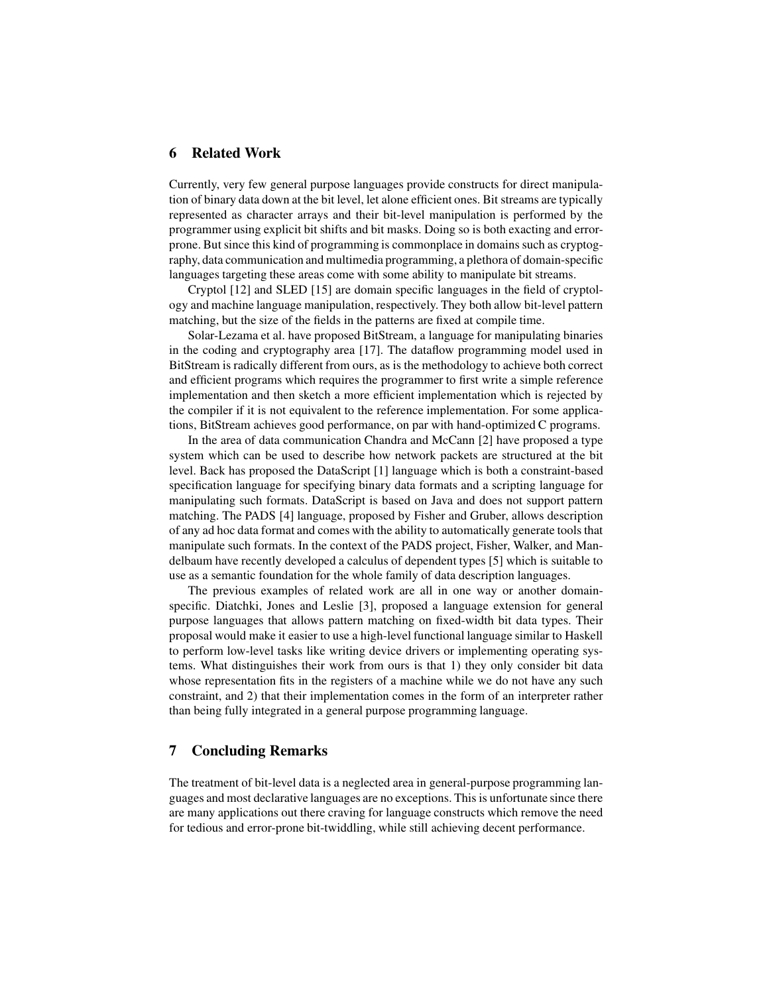# **6 Related Work**

Currently, very few general purpose languages provide constructs for direct manipulation of binary data down at the bit level, let alone efficient ones. Bit streams are typically represented as character arrays and their bit-level manipulation is performed by the programmer using explicit bit shifts and bit masks. Doing so is both exacting and errorprone. But since this kind of programming is commonplace in domains such as cryptography, data communication and multimedia programming, a plethora of domain-specific languages targeting these areas come with some ability to manipulate bit streams.

Cryptol [12] and SLED [15] are domain specific languages in the field of cryptology and machine language manipulation, respectively. They both allow bit-level pattern matching, but the size of the fields in the patterns are fixed at compile time.

Solar-Lezama et al. have proposed BitStream, a language for manipulating binaries in the coding and cryptography area [17]. The dataflow programming model used in BitStream is radically different from ours, as is the methodology to achieve both correct and efficient programs which requires the programmer to first write a simple reference implementation and then sketch a more efficient implementation which is rejected by the compiler if it is not equivalent to the reference implementation. For some applications, BitStream achieves good performance, on par with hand-optimized C programs.

In the area of data communication Chandra and McCann [2] have proposed a type system which can be used to describe how network packets are structured at the bit level. Back has proposed the DataScript [1] language which is both a constraint-based specification language for specifying binary data formats and a scripting language for manipulating such formats. DataScript is based on Java and does not support pattern matching. The PADS [4] language, proposed by Fisher and Gruber, allows description of any ad hoc data format and comes with the ability to automatically generate tools that manipulate such formats. In the context of the PADS project, Fisher, Walker, and Mandelbaum have recently developed a calculus of dependent types [5] which is suitable to use as a semantic foundation for the whole family of data description languages.

The previous examples of related work are all in one way or another domainspecific. Diatchki, Jones and Leslie [3], proposed a language extension for general purpose languages that allows pattern matching on fixed-width bit data types. Their proposal would make it easier to use a high-level functional language similar to Haskell to perform low-level tasks like writing device drivers or implementing operating systems. What distinguishes their work from ours is that 1) they only consider bit data whose representation fits in the registers of a machine while we do not have any such constraint, and 2) that their implementation comes in the form of an interpreter rather than being fully integrated in a general purpose programming language.

# **7 Concluding Remarks**

The treatment of bit-level data is a neglected area in general-purpose programming languages and most declarative languages are no exceptions. This is unfortunate since there are many applications out there craving for language constructs which remove the need for tedious and error-prone bit-twiddling, while still achieving decent performance.